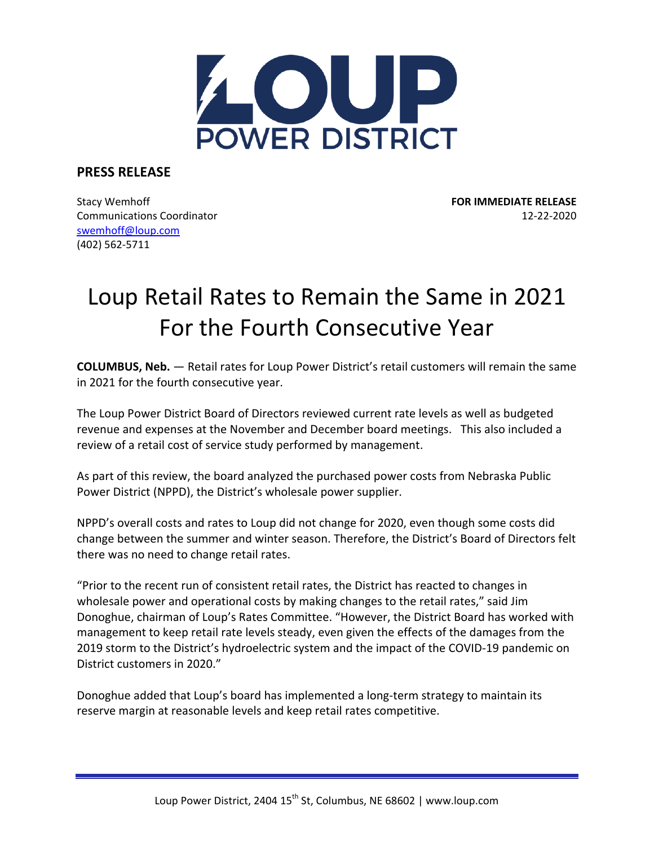

**PRESS RELEASE**

Stacy Wemhoff **FOR IMMEDIATE RELEASE** Communications Coordinator 12‐22‐2020 swemhoff@loup.com (402) 562‐5711

## Loup Retail Rates to Remain the Same in 2021 For the Fourth Consecutive Year

**COLUMBUS, Neb.** — Retail rates for Loup Power District's retail customers will remain the same in 2021 for the fourth consecutive year.

The Loup Power District Board of Directors reviewed current rate levels as well as budgeted revenue and expenses at the November and December board meetings. This also included a review of a retail cost of service study performed by management.

As part of this review, the board analyzed the purchased power costs from Nebraska Public Power District (NPPD), the District's wholesale power supplier.

NPPD's overall costs and rates to Loup did not change for 2020, even though some costs did change between the summer and winter season. Therefore, the District's Board of Directors felt there was no need to change retail rates.

"Prior to the recent run of consistent retail rates, the District has reacted to changes in wholesale power and operational costs by making changes to the retail rates," said Jim Donoghue, chairman of Loup's Rates Committee. "However, the District Board has worked with management to keep retail rate levels steady, even given the effects of the damages from the 2019 storm to the District's hydroelectric system and the impact of the COVID‐19 pandemic on District customers in 2020."

Donoghue added that Loup's board has implemented a long-term strategy to maintain its reserve margin at reasonable levels and keep retail rates competitive.